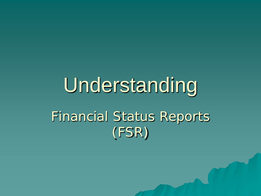# Understanding Financial Status Reports (FSR)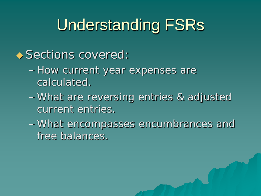### Understanding FSRs

#### ◆ Sections covered:

- How current year expenses are calculated.
- What are reversing entries & adjusted current entries.
- What encompasses encumbrances and free balances.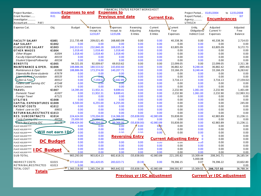| FINANCIAL STATUS REPORT WORKSHEET<br>0004092 Expenses to end |                    |               |                  |                               |              |                            |                                |                      |                     |                                  |  |
|--------------------------------------------------------------|--------------------|---------------|------------------|-------------------------------|--------------|----------------------------|--------------------------------|----------------------|---------------------|----------------------------------|--|
| Project Number                                               |                    |               |                  | <b>Expenses to</b>            |              |                            |                                | Project Period       | 01/01/2004          | to 12/31/2008                    |  |
| Grant Number                                                 | <b>R01</b><br>date |               |                  | <b>Previous end date</b>      |              | <b>Current Exp.</b>        |                                | Report Period        |                     | )07                              |  |
| Investigator                                                 |                    |               |                  |                               |              |                            |                                | Agency               | <b>Encumbrances</b> |                                  |  |
| Account ant<br>PAF/                                          |                    |               |                  |                               |              |                            |                                | <b>UTHSCH</b>        |                     |                                  |  |
| Expense Cat.                                                 | Obj.               | <b>Budget</b> | Expenses         | Expenses                      | Reversing    | Current                    | Current                        | Unlig.               | Adjusted            | Adjusted                         |  |
|                                                              |                    |               | Incept. to       | Incept. to                    | Adjusting    | Adjusting                  | Year                           | Obligations/         | Current Yr          | Free                             |  |
|                                                              |                    |               | 12/31/07         | 12/31/06                      | Entries      | Entries                    | Expenses                       | <b>Indirect Cost</b> | Expenses            | Balance                          |  |
|                                                              |                    |               |                  |                               |              |                            |                                |                      |                     |                                  |  |
| <b>FACULTY SALARY</b>                                        | 61001              | 211.735.48    | 209,021.45       | 168.683.09                    | 0.00         | 0.00                       | 40,338.36                      | 0.00                 | 40,338.36           | 2.714.03                         |  |
| A&P SALARY                                                   | 61002              | 0.00          | 0.00             | 0.00                          | 0.00         | 0.00                       | 0.00                           | 0.00                 | 0.00                | 0.00                             |  |
| <b>CLASSIFIED SALARY</b>                                     | 61003              | 242,013.01    | 232,840.28       | 169,035.19                    | 0.00         | 0.00                       | 63,805.09                      | 0.00                 | 63,805.09           | 9,172.73                         |  |
| <b>OTHER WAGES</b>                                           | 61004              | 1,018.40      | 1,018.40         | 1,018.40                      | 0.00         | 0.00                       | 0.00                           | 0.00                 | 0.00                | 0.00                             |  |
| Other Wages                                                  | 61004              | 1,018.40      | 1,018.40         | 1,018.40                      | 0.00         | 0.00                       | 0.00                           | 0.00                 | 0.00                | 0.00                             |  |
| <b>Faculty Stipend/Fellowship</b>                            | 69155              | 0.00          | 0.00             | 0.00                          | 0.00         | 0.00                       | 0.00                           | 0.00                 | 0.00                | 0.00                             |  |
| Student Stipend/Fellowship                                   | 69156              | 0.00          | 0.00             | 0.00                          | 0.00         | 0.00                       | 0.00                           | 0.00                 | 0.00                | 0.00                             |  |
| <b>BENEFITS</b>                                              | 61005              | 94,321.05     | 92.009.67        | 69,910.62                     | 0.00         | 0.00                       | 22,099.05                      | 0.00                 | 22,099.05           | 2,311.38                         |  |
| MAINTENANCE & OPER.                                          | 61006              | 188,886.06    | 180,533.02       | 143,650.60                    | 0.00         | 0.00                       | 36,882.42                      | 9,248.44             | 36,882.42           | (895.40)                         |  |
| Maintenance & Oper                                           | 61006              | 188,886.06    | 173,374.00       | 140,207.71                    | 0.00         | 0.00                       | 33,166.29                      | 9,248.44             | 33,166.29           | 6,263.62                         |  |
| Stipends/No Bene-students                                    | 67679              | 0.00          | 0.00             | 0.00                          | 0.00         | 0.00                       | 0.00                           | 0.00                 | 0.00                | 0.00                             |  |
| Stipenas/Med Foundation                                      | 69335              | 0.00          | ᡡ                | ᠊ᡡ                            | 0.00         | 0.00                       | 0.00                           | 0.00                 | 0.00                | 0.00                             |  |
| <b>Tuition &amp; Fees</b>                                    | 69312              | 0.00          | 7,159.02<br>0.00 | 442.89<br>0.00                | 0.00         | 0.00                       | 3,716.13                       | 0.00                 | 3,716.13            | (7, 159.02)                      |  |
| Patient care earning IDC<br><b>Space Leases</b>              | 67248<br>67470     | 0.00<br>0.00  | 0.00             | 0.00                          | 0.00<br>0.00 | 0.00<br>0.00               | 0.00<br>0.00                   | 0.00<br>0.00         | 0.00<br>0.00        | 0.00<br>0.00                     |  |
| <b>TRAVEL</b>                                                | 61007              | 14,395.00     | 11,932.31        | 9,699.41                      | 0.00         | 0.00                       | 2,232.90                       | 1,061.00             | 2,232.90            | 1,401.69                         |  |
| Domestic Travel                                              | 61007              | 0.00          | 11,932.31        | 9,699.41                      | 0.00         | 0.00                       | 2,232.90                       | 1,061.00             | 2,232.90            | (12,993.31)                      |  |
| Foreign Travel                                               | 67121              | 0.00          | 0.00             | 0.00                          | 0.00         | 0.00                       | 0.00                           | 0.00                 | 0.00                | 0.00                             |  |
| <b>UTILITIES</b>                                             | 61008              | 0.00          | 0.00             | 0.00                          | 0.00         | 0.00                       | 0.00                           | 0.00                 | 0.00                | 0.00                             |  |
| <b>CAPITAL EXPENDITURES 61009</b>                            |                    | 6,500.00      | 6,255.00         | 6,255.00                      | 0.00         | 0.00                       | 0.00                           | 0.00                 | 0.00                | 245.00                           |  |
| <b>PATIENT COSTS</b>                                         | 61012              | 0.00          | 0.00             | 0.00                          | 0.00         | 0.00                       | 0.00                           | 0.00                 | 0.00                | 0.00                             |  |
| Patient care no IDC                                          | 69651              | 0.00          | 0.00             | 0.00                          | 0.00         | 0.00                       | 0.00                           | 0.00                 | 0.00                | 0.00                             |  |
| <b>RETURN BAL/RESTRICTE 61013</b>                            |                    | 0.00          | 0.00             | 0.00                          | 0.00         | 0.00                       | 0.00                           | 0.00                 | 0.00                | 0.00                             |  |
| <b>RES. SUBCONTRACTS</b>                                     | 61014              | 224,424.00    | 170,204.00       | 114,366.00                    | (55,838.00)  | 42,983.89                  | 55,838.00                      | 0.00                 | 42,983.89           | 11,236.11                        |  |
| Costs Farning IDC                                            | 69759              | 25,000.00     | 25,000,00        | 25,000.00                     | 0.00         | 0.00                       | 0.00                           | 0.00                 | 0.00                | 0.00                             |  |
| <b>Costs Not Earning IDC</b>                                 | 69779              | 199,424.00    | 45,204.00        | 89,366.00                     | (55,838.00)  | 42,983.89                  | 55,838.00                      | 0.00                 | 42,983.89           | 11,236.11                        |  |
| PLACE HOLDER******                                           |                    | 0.00          | 0.00             | 0.00                          | 0.00         | 0.00                       | 0.00                           | 0.00                 | 0.00                | 0.00                             |  |
| PLACE HOLDER******                                           |                    | 0.00          | 0.00             | 0.00                          | 0.00         | 0.00                       | 0.00                           | 0.00                 | 0.00                | 0.00                             |  |
| PLACE HOLDER******                                           | Will not earn IDC  | 0.00          | 0.00             | $n \n  n$                     | $n \cap$     | 0.00                       | 0.00                           | 0.00                 | 0.00                | 0.00                             |  |
| PLACE HOLDER******                                           |                    | 0.00          | 0.00             | <b>Reversing Entry</b>        |              |                            |                                | ю                    | 0.00                | 0.00                             |  |
| PLACE HOLDER******                                           |                    | 0.00          | 0.00             | $\frac{1}{2}$ . $\frac{1}{2}$ | $-1$         |                            | <b>Current Adjusting Entry</b> | $\overline{10}$      | 0.00                | 0.00                             |  |
| PLACE HOLDER******                                           | <b>DC Budget</b>   | 0.00          | 0.00             | 0.00                          | 0.00         | U.UU                       | U.UU                           | 0.00                 | 0.00                | 0.00                             |  |
| PLACE HOLDER******                                           |                    | 0.00          | 0.00             | 0.00                          | 0.00         | 0.00                       | 0.00                           | 0.00                 | 0.00                | 0.00                             |  |
| PLACE HOLDER******<br>DC                                     | <b>Budget</b>      | 0.00          | 0.00             | 0.00                          | 0.00         | 0.00                       | 0.00                           | 0.00                 | 0.00                | 0.00                             |  |
| <b>PLACE HOLDER</b>                                          |                    | 0.00          | 0.00             | 0.00                          | 0.00         | 0.00                       | 0.00                           | 0.00                 | 0.00                | 0.00                             |  |
| SUB-TOTAL                                                    |                    | 983,293.00    | 903,814.13       | 682,618.31                    | (55,838.00)  | 42,983.89                  | 221,195.82                     | 10,309.44            | 208,341.71          | 26.185.54                        |  |
|                                                              |                    |               |                  |                               |              |                            |                                | 5,000.08             |                     |                                  |  |
| <b>INDIRECT COSTS</b>                                        | 61015              | 377,023.00    | 361,420.05       | 283,023.71                    | (0.19)       | 0.00                       | 78,396.15                      | 0.07                 | 78,396.22           | 10,602.80                        |  |
| <b>RETRN BAL/RESTRICTED</b>                                  | 61013              | 0.00          |                  |                               |              |                            |                                |                      |                     | 0.00                             |  |
| <b>TOTAL COST</b>                                            |                    | 1,360,316.00  | 1,265,234.18     | 965,642.02                    | (55,838.19)  | 42,983.89                  | 299,591.97                     | 15,309.52            | 286,737.93          | 36,788.34                        |  |
| Totals                                                       |                    |               |                  |                               |              |                            |                                |                      |                     |                                  |  |
|                                                              |                    |               |                  |                               |              | Previous yr IDC adjustment |                                |                      |                     | <b>Current yr IDC adjustment</b> |  |

فالمستنبذ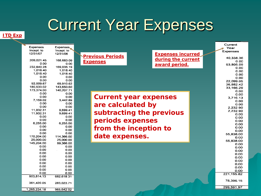### Current Year Expenses

**ITD Exp**

| h.<br>Expenses  | Expenses   |
|-----------------|------------|
| Incept. to      | Incept. to |
| 12/31/07        | 12/31/06   |
| 209,021.45      | 168,683.09 |
| 0.00            | 0.00       |
| 232,840.28      | 169,035.19 |
| 1,018.40        | 1,018.40   |
| 1,018.40        | 1,018.40   |
| 0.00            | 0.00       |
| 0.00            | 0.00       |
| 92,009.67       | 69,910.62  |
| 180,533.02      | 143,650.60 |
| 173,374.00      | 140,207.71 |
| 0.00            | 0.00       |
| 0.00            | 0.00       |
| 7,159.02        | 3,442.89   |
| 0.00            | 0.00       |
| 0.00            | 0.00       |
| 11,932.31       | 9,699.41   |
| 11,932.31       | 9,699.41   |
| 0.00            | 0.00       |
| 0.00            | 0.00       |
| 6,255.00        | 6,255.00   |
| 0.00            | 0.00       |
| 0.00            | 0.00       |
| 0.00            | 0.00       |
| 170,204.00      | 114,366.00 |
| 25,000.00       | 25,000.00  |
| 145,204.00      | 89,366.00  |
| 0.00            | 0.00       |
| 0.00            | 0.00       |
| 0.00            | 0.00       |
| 0.00            | 0.00       |
| 0.00            | 0.00       |
| 0.00            | 0.00       |
| 0.00            | 0.00       |
| 0.00            | 0.00       |
| 0.00            | 0.00       |
| 903,814.13      | 682,618.31 |
|                 |            |
| 361,420.05      | 283.023.71 |
| 265,234.18<br>1 | 965,642.02 |

**Exp** 

|                              |                          | Year                   |
|------------------------------|--------------------------|------------------------|
|                              | <b>Expenses incurred</b> | Expenses               |
| <b>Previous Periods</b>      |                          | 40,338.36              |
| <b>Expenses</b>              | during the current       | 0.00                   |
|                              | award period.            | 63,805.09              |
|                              |                          | 0.00                   |
|                              |                          | 0.00                   |
|                              |                          | 0.00                   |
|                              |                          | 0.00                   |
|                              |                          | 22,099.05<br>36,882.42 |
|                              |                          | 33,166.29              |
|                              |                          | 0.00                   |
|                              |                          | 0.00                   |
| <b>Current year expenses</b> |                          | 3,716.13               |
|                              |                          | 0.00                   |
| are calculated by            |                          | 0.00                   |
|                              |                          | 2.232.90               |
| subtracting the previous     |                          | 2,232.90               |
|                              |                          | 0.00                   |
|                              |                          | 0.00                   |
| periods expenses             |                          | 0.00<br>0.00           |
|                              |                          | 0.00                   |
| from the inception to        |                          | 0.00                   |
|                              |                          | 55,838.00              |
| date expenses.               |                          | 0.00                   |
|                              |                          | 55.838.00              |
|                              |                          | 0.00                   |
|                              |                          | 0.00                   |
|                              |                          | 0.00                   |
|                              |                          | 0.00                   |
|                              |                          | 0.00                   |
|                              |                          | 0.00<br>0.00           |
|                              |                          | 0.00                   |
|                              |                          | 0.00                   |
|                              |                          | 221, 195.82            |
|                              |                          |                        |
|                              |                          | 78,396.15              |
|                              |                          |                        |

299,591.97

Current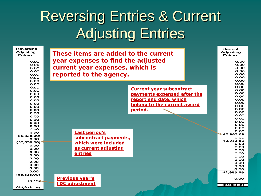#### Reversing Entries & Current Adjusting Entries

| Reversing<br>Adjusting<br>Entries | These items are added to the current | Current<br>Adjusting<br>Entries |
|-----------------------------------|--------------------------------------|---------------------------------|
|                                   | year expenses to find the adjusted   |                                 |
| 0.00<br>0.00                      |                                      | O.OO<br>0.00                    |
| 0.00                              | current year expenses, which is      | 0.00                            |
| 0.00                              |                                      | O.OO                            |
| 0.00                              | reported to the agency.              | 0.00                            |
| 0.00                              |                                      | 0.00                            |
| 0.00                              |                                      | O.OO                            |
| 0.00                              |                                      | 0.00                            |
| 0.00                              | <b>Current year subcontract</b>      | 0.00                            |
| 0.00                              |                                      | 0.00<br>0.00                    |
| 0.00                              | payments expensed after the          | 0.00                            |
| 0.00                              | report end date, which               | 0.00                            |
| 0.00<br>0.00                      |                                      | 0.00                            |
| 0.00                              | belong to the current award          | O.OO                            |
| 0.00                              | period.                              | O.OO                            |
| 0.00                              |                                      | 0.00                            |
| 0.00                              |                                      | 0.00                            |
| 0.00                              |                                      | O.OO                            |
| 0.00                              |                                      | 0.00<br>O.OO                    |
| 0.00                              |                                      | O.OO                            |
| 0.00                              |                                      | 0.00                            |
| 0.00                              | <b>Last period's</b>                 | 42.983.89                       |
| (55,838.00)                       | subcontract payments,                | 0.00                            |
| 0.00<br>(55,838.00)               |                                      | 42,983.89                       |
| 0.00                              | which were included                  | 0.00                            |
| 0.00                              | as current adjusting                 | O.OO                            |
| 0.00                              |                                      | O.OO<br>0.00                    |
| 0.00                              | entries                              | O.OO                            |
| 0.00                              |                                      | O.OO                            |
| 0.00                              |                                      | 0.00                            |
| 0.00                              |                                      | O.OO                            |
| 0.00                              |                                      | O.OO                            |
| 0.00<br>(55,838.00)               |                                      | 42,983.89                       |
|                                   | <b>Previous year's</b>               | O.OO                            |
| (0.19)                            |                                      |                                 |
|                                   | <b>IDC adjustment</b>                | 42,983.89                       |
| (55,838.19)                       |                                      |                                 |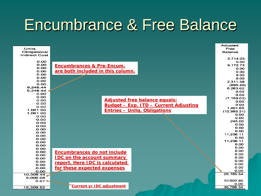#### Encumbrance & Free Balance

| Unlig.<br>Obligations/       |                                       | Adjusted<br>Free<br><b>Balance</b> |
|------------------------------|---------------------------------------|------------------------------------|
| <b>Indirect Cost</b><br>0.00 |                                       | 2.714.03<br>0.00                   |
| 0.00                         | <b>Encumbrances &amp; Pre-Encum.</b>  | 9.172.73                           |
| 0.00<br>0.00                 | are both included in this column.     | 0.00                               |
| 0.00                         |                                       | 0.00                               |
| O.OO                         |                                       | 0.00<br>0.00                       |
| 0.00                         |                                       | 2,311.38                           |
| 0.00                         |                                       | (895.40)                           |
| 9.248.44                     |                                       | 6,263.62                           |
| 9.248.44                     |                                       | 0.00                               |
| 0.00                         |                                       | 0.00                               |
| O.OO                         |                                       | (7, 159.02)                        |
| O.OO                         | <b>Adjusted free balance equals:</b>  | 0.00                               |
| 0.00                         | Budget - Exp. ITD - Current Adjusting | 0.00                               |
| 0.00<br>1,061.00             |                                       | 1,401.69                           |
| 1.061.00                     | <b>Entries - Unlig. Obligations</b>   | (12,993.31)                        |
| 0.00                         |                                       | 0.00                               |
| 0.00                         |                                       | 0.00                               |
| 0.00                         |                                       | 245.00                             |
| 0.00                         |                                       | 0.00<br>0.00                       |
| O.OO                         |                                       | 0.00                               |
| 0.00                         |                                       | 11,236.11                          |
| O.OO                         |                                       | 0.00                               |
| 0.00<br>0.00                 |                                       | 11,236.11                          |
| 0.00                         |                                       | 0.00                               |
| O.OO                         |                                       | 0.00                               |
| 0.00                         | <b>Encumbrances do not include</b>    | O.OO                               |
| 0.00                         |                                       | 0.00                               |
| 0.00                         | <b>IDC on the account summary</b>     | 0.00                               |
| 0.00                         | report. Here IDC is calculated        | 0.00                               |
| 0.00                         |                                       | 0.00                               |
| 0.00                         | for these expected expenses           | 0.00                               |
| 0.00                         |                                       | 0.00<br>26, 185.54                 |
| 10.309.44                    |                                       |                                    |
| 5,000.08<br>$0.07 +$         |                                       | 10,602.80                          |
|                              |                                       | 0.00                               |
| 15,309.52                    | <b>Current yr IDC adjustment</b>      | 36,788.34                          |
|                              |                                       |                                    |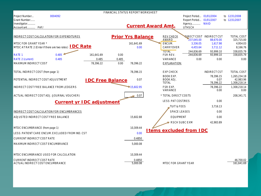| <b>FINANCIAL STATUS REPORT WORKSHEET</b>    |                                                               |                         |       |                           |  |                            |                                 |                                             |                                 |
|---------------------------------------------|---------------------------------------------------------------|-------------------------|-------|---------------------------|--|----------------------------|---------------------------------|---------------------------------------------|---------------------------------|
| Project Number                              | 0004092                                                       |                         |       |                           |  |                            | Project Period 01/01/2004       |                                             | to 12/31/2008                   |
| Grant Number                                |                                                               |                         |       |                           |  |                            | Report Period 01/01/2007        |                                             | to 12/31/2007                   |
| Investigator                                |                                                               |                         |       | <b>Current Award Amt.</b> |  |                            | Agency<br><b>UTHSCH</b>         | <b>NIAID</b>                                |                                 |
| Account ant<br>PAF/                         |                                                               |                         |       |                           |  |                            |                                 |                                             |                                 |
|                                             |                                                               |                         |       |                           |  |                            |                                 |                                             |                                 |
| INDIRECT COST CALCULATION FOR EXPENDITURES  |                                                               |                         |       | <b>Prior Yrs Balance</b>  |  | <b>REV CHECK</b><br>AWARD  | 237,045.00                      | <b>NRECT COST INDIRECT CST</b><br>88,670.00 | <b>TOTAL COST</b><br>325,715.00 |
| MTDC FOR GRANT YEAR *                       |                                                               |                         |       | 161,641.69                |  | ENCUM.                     | 3,336.05                        | 1,617.98                                    | 4,954.03                        |
|                                             | MTDC AT RATE 2 (Enter if there are two rates) <b>IDC Rate</b> |                         |       | 0.00                      |  | CARRYOVER                  | 4,455.64                        | 3,711.12                                    | 8,166.76                        |
|                                             |                                                               |                         |       |                           |  | <b>TOTAL</b>               | 244,836.69                      | 93,999.10                                   | 338,835.79                      |
| <b>RATE1</b>                                | 0.485                                                         | 161,641.69              | 0.00  |                           |  | FSR REV.                   | 244,836.69                      | 93,999.10                                   | 338,835.79                      |
| <b>RATE 2 (current)</b>                     | 0.485                                                         | 0.485                   | 0.485 |                           |  | VARIANCE                   | 0.00                            | 0.00                                        | 0.00                            |
| <b>MAXIMUM INDIRECT COST</b>                |                                                               | 78,396.22               | 0.00  | 78.396.22                 |  | EXPLANATION:               |                                 |                                             |                                 |
| TOTAL INDIRECT COST (from page 1)           |                                                               |                         |       | 78,396.15                 |  | <b>EXP CHECK</b>           |                                 | <b>INDIRECT CST</b>                         | <b>TOTAL COST</b>               |
|                                             |                                                               |                         |       |                           |  | <b>BOOK EXP.</b>           |                                 | 78,396.15                                   | 1.265.234.18                    |
| POTENTIAL INDIRECT COST ADJUSTMENT          |                                                               | <b>IDC Free Balance</b> |       | 0.07                      |  | <b>BOOK ADJ.</b>           |                                 | 0.07                                        | 42,983.96                       |
|                                             |                                                               |                         |       |                           |  | <b>TOTAL</b>               |                                 | 78,396.22                                   | 1,308,218.14                    |
| INDIRECT COST FREE BALANCE FROM LEDGERS     |                                                               |                         |       | 15,602.95                 |  | FSR EXP.<br>VARIANCE       |                                 | 78,396.22<br>0.00                           | 1,308,218.14<br>0.00            |
| ACTUAL INDIRECT COST ADJ. (JOURNAL VOUCHER) |                                                               |                         |       | 0.07                      |  | * TOTAL DIRECT COSTS       |                                 |                                             | 208,341.71                      |
|                                             | <b>Current yr IDC adjustment</b>                              |                         |       |                           |  | LESS: PAT COST/RES         |                                 | 0.00                                        |                                 |
|                                             |                                                               |                         |       |                           |  | TUIT & FEES                |                                 | 3.716.13                                    |                                 |
| INDIRECT COST CALCULATION FOR ENCUMBRANCES  |                                                               |                         |       |                           |  | <b>SPACE LEASES</b>        |                                 | 0.00                                        |                                 |
| ADJUSTED INDIRECT COST FREE BALANCE         |                                                               |                         |       | 15.602.88                 |  | <b>EQUIPMENT</b>           |                                 | 0.00                                        |                                 |
|                                             |                                                               |                         |       |                           |  | <b>RSCH SUBC EXM</b>       |                                 | 42,983.89                                   |                                 |
| MTDC ENCUMBRANCE (from page 1)              |                                                               |                         |       | 10,309.44                 |  |                            | <b>I tems excluded from IDC</b> |                                             |                                 |
|                                             | LESS: PATIENT CARE ENCUM. EXCLUDED FROM IND. CST              |                         |       | 0.00                      |  |                            |                                 |                                             |                                 |
| <b>CURRENT INDIRECT COST RATE</b>           |                                                               |                         |       | 0.4850                    |  |                            |                                 |                                             |                                 |
| MAXIMUM INDIRECT COST ENCUMBRANCE           |                                                               |                         |       | 5,000.08                  |  |                            |                                 |                                             |                                 |
| MTDC ENCUMBRANCE USED FOR CALCULATION       |                                                               |                         |       | 10,309.44                 |  |                            |                                 |                                             |                                 |
| <b>CURRENT INDIRECT COST RATE</b>           |                                                               |                         |       | 0.4850                    |  |                            |                                 |                                             | 46,700.02                       |
| ACTUAL INDIRECT COST ENCUMBRANCE            |                                                               |                         |       | 5,000.08                  |  | <b>MTDC FOR GRANT YEAR</b> |                                 |                                             | 161.641.69                      |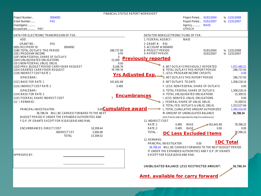|                                                                                |            |                                               |           |                       | FINANCIAL STATUS REPORT WORKSHEET |                                             |                                                             |                |                               |                                                                           |                     |                            |
|--------------------------------------------------------------------------------|------------|-----------------------------------------------|-----------|-----------------------|-----------------------------------|---------------------------------------------|-------------------------------------------------------------|----------------|-------------------------------|---------------------------------------------------------------------------|---------------------|----------------------------|
| Project Number                                                                 | 0004092    |                                               |           |                       |                                   |                                             |                                                             |                |                               | Project Period 01/01/2004                                                 |                     | to 12/31/2008              |
| Grant Number<br>Investigator                                                   | <b>R01</b> |                                               |           |                       |                                   |                                             |                                                             |                |                               | Report Period 01/01/2007                                                  |                     | to 12/31/2007              |
| Account ant  PAF/                                                              |            |                                               |           |                       |                                   |                                             |                                                             |                | Agency NIAID<br><b>UTHSCH</b> |                                                                           |                     |                            |
| DATA FOR ELECTRONIC TRANSMISSION OF FSR:                                       |            |                                               |           |                       |                                   | DATA FOR NON-ELECTRONIC FILING OF FSR:      |                                                             |                |                               |                                                                           |                     |                            |
|                                                                                |            |                                               |           |                       |                                   |                                             |                                                             |                |                               |                                                                           |                     |                            |
| ADD                                                                            |            |                                               |           |                       |                                   | 1. FEDERAL AGENCY:                          |                                                             |                | <b>NIAID</b>                  |                                                                           |                     |                            |
| <b>GRANT NO.:</b><br>(005) RECIPIENTID:                                        | <b>R01</b> | 0004092                                       |           |                       |                                   | 2. GRANT $#$ : R01<br>5. ACCOUNT #: 0004092 |                                                             |                |                               |                                                                           |                     |                            |
| (10B) TOTAL OUTLAYS THIS PERIOD                                                |            |                                               |           | 286.737.93            |                                   | 8. PROJECT PERIOD                           |                                                             |                |                               | 01/01/2004                                                                |                     | to 12/31/2008              |
| (10C) PROGRAM INCOME                                                           |            |                                               |           | 0.00                  |                                   | 9. REPORT PERIOD                            |                                                             |                |                               | 01/01/2007                                                                |                     | to 12/31/2007              |
| (10F) NON-FEDERAL SHARE OF OUTLAYS                                             |            |                                               |           | $\Omega$              |                                   | <b>Previously reported</b>                  |                                                             |                |                               |                                                                           |                     |                            |
| (10H) UNLIQUIDATED OBLIGATIONS<br>(101) NON-FEDERAL UNLIQ. OBLIG.              |            |                                               |           | 15,309<br>0.00        |                                   |                                             |                                                             |                |                               |                                                                           |                     |                            |
| (10Z) PREV. BUDGET PERIOD CARRYOVER REQUEST<br>(10X) GRANTEE CARRYOVER REQUEST |            |                                               |           | 8.166.76<br>36 788 34 |                                   |                                             |                                                             |                |                               | A. NET OUTLAYS PREVIOUSLY REPORTED<br>B. TOTAL OUTLAYS THIS REPORT PERIOD |                     | 1,021,480.21<br>286,737.93 |
| (11B) INDIRECT COST RATE 1                                                     |            |                                               |           |                       |                                   |                                             |                                                             |                |                               | C. LESS: PROGRAM INCOME CREDITS                                           |                     | 0.00                       |
| (SPACEBAR)                                                                     |            |                                               |           |                       | <b>Yrs Adjusted Exp.</b>          |                                             |                                                             |                |                               | D. NET OUTLAYS THIS REPORT PERIOD                                         |                     | 286,737.93                 |
| (11C) BASE FOR RATE 1                                                          |            |                                               |           | 161,641.69            |                                   |                                             | E. NET OUTLAYS TO DATE                                      |                |                               |                                                                           |                     | 1,308,218.14               |
| (11G) INDIRECT COST RATE 2                                                     |            |                                               |           | 0.485                 |                                   |                                             |                                                             |                |                               | F. LESS: NON-FEDERAL SHARE OF OUTLAYS                                     |                     | 0.00                       |
| (SPACEBAR)                                                                     |            |                                               |           |                       |                                   |                                             |                                                             |                |                               | <b>G. TOTAL FEDERAL SHARE OF OUTLAYS</b>                                  |                     | 1,308,218.14               |
| (11H) BASE FOR RATE 2                                                          |            |                                               |           |                       | <b>Encumbrances</b>               |                                             |                                                             |                |                               | H. TOTAL UNLIQUIDATED OBLIGATIONS                                         |                     | 15,309.52                  |
| (11E) FEDERAL SHARE INDIRECT COST                                              |            |                                               |           |                       |                                   |                                             |                                                             |                |                               | I. LESS: NON-FED. UNLIQ. OBLIGATIONS                                      |                     | 0.00                       |
| $(12)$ REMARKS:                                                                |            |                                               |           |                       |                                   |                                             | J. FEDERAL SHARE OF UNLIQ. OBLIG.                           |                |                               |                                                                           |                     | 15,309.52                  |
|                                                                                |            |                                               |           |                       |                                   |                                             |                                                             |                |                               | K. TOTAL FED. OUTLAYS & UNLIQ. OBLIG.                                     |                     | 1,323,527.66               |
| PRINCIPALINVESTIGATOR:                                                         |            |                                               |           |                       | 0.00 Cumulative award             |                                             |                                                             |                |                               | L. TOTAL CUMULATIVE AMOUNT AUTHORIZED                                     |                     | 1,360,316.00               |
|                                                                                |            | 36.788.34 WILL BE CARRIED FORWARD TO THE NEXT |           |                       |                                   |                                             |                                                             |                |                               | M. AMOUNT OF UNOBLIGATED BALANCE                                          |                     | 36,788.34                  |
| BUDGET PERIOD IF UNDER THE EXPANDED AUTHORITIES AND                            |            |                                               |           |                       |                                   |                                             |                                                             |                |                               | (Amt. Paid to date-Expended to date-Encumbrances)                         |                     |                            |
| F.D.P. ('R' GRANTS EXCEPT FOR R10, R18, R43 AND R44).                          |            |                                               |           |                       |                                   | 11. INDIRECT COST                           |                                                             |                |                               |                                                                           |                     |                            |
| <b>ENCUMBRANCES: DIRECT COST</b>                                               |            |                                               | 10.309.44 |                       |                                   | RATE 1:<br>RATE 2:                          |                                                             | 0.485<br>0.485 | <b>BASE</b><br><b>BASE</b>    |                                                                           | 7161,641.69<br>0.00 | 78.396.22<br>0.00          |
|                                                                                |            | <b>INDIRECT CST</b>                           | 5,000.08  |                       |                                   | TOTAL:                                      |                                                             |                |                               |                                                                           |                     | 78,396.22                  |
|                                                                                |            | <b>TOTAL</b>                                  | 15,309.52 |                       |                                   |                                             |                                                             |                |                               | <b>DC Less Excluded Items</b>                                             |                     |                            |
|                                                                                |            |                                               |           |                       |                                   | 12. REMARKS:                                |                                                             |                |                               |                                                                           |                     |                            |
|                                                                                |            |                                               |           |                       |                                   |                                             | PRINCIPALINVESTIGATOR:                                      |                |                               | 0.00                                                                      |                     | <b>IDC Total</b>           |
|                                                                                |            |                                               |           |                       |                                   |                                             | 36.788.34 WILL BE CARRIED FORWARD TO THE NEXT BUDGET PERIOD |                |                               |                                                                           |                     |                            |
|                                                                                |            |                                               |           |                       |                                   |                                             | IF UNDER THE EXPANDED AUTHORITIES AND F.D.P. ('R' GRANTS    |                |                               |                                                                           |                     |                            |
| APPROVED BY:                                                                   |            |                                               |           |                       |                                   |                                             | EXCEPT FOR R10, R18, R43 AND R44).                          |                |                               |                                                                           |                     |                            |
|                                                                                |            |                                               |           |                       |                                   |                                             |                                                             |                |                               |                                                                           |                     |                            |
|                                                                                |            |                                               |           |                       |                                   |                                             |                                                             |                |                               |                                                                           |                     | 36,788.34                  |
|                                                                                |            |                                               |           |                       |                                   | UNOBLIGATED BALANCE LESS RESTRICTED AMOUNT: |                                                             |                |                               |                                                                           |                     |                            |
|                                                                                |            |                                               |           |                       |                                   |                                             |                                                             |                |                               |                                                                           |                     |                            |

**Amt. available for carry forward**